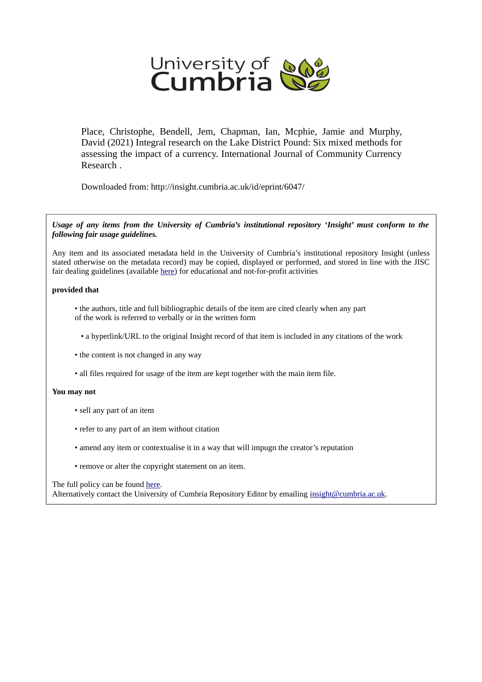

Place, Christophe, Bendell, Jem, Chapman, Ian, Mcphie, Jamie and Murphy, David (2021) Integral research on the Lake District Pound: Six mixed methods for assessing the impact of a currency. International Journal of Community Currency Research .

Downloaded from: http://insight.cumbria.ac.uk/id/eprint/6047/

*Usage of any items from the University of Cumbria's institutional repository 'Insight' must conform to the following fair usage guidelines.*

Any item and its associated metadata held in the University of Cumbria's institutional repository Insight (unless stated otherwise on the metadata record) may be copied, displayed or performed, and stored in line with the JISC fair dealing guidelines (available [here\)](http://www.ukoln.ac.uk/services/elib/papers/pa/fair/) for educational and not-for-profit activities

#### **provided that**

• the authors, title and full bibliographic details of the item are cited clearly when any part of the work is referred to verbally or in the written form

• a hyperlink/URL to the original Insight record of that item is included in any citations of the work

- the content is not changed in any way
- all files required for usage of the item are kept together with the main item file.

#### **You may not**

- sell any part of an item
- refer to any part of an item without citation
- amend any item or contextualise it in a way that will impugn the creator's reputation
- remove or alter the copyright statement on an item.

#### The full policy can be found [here.](http://insight.cumbria.ac.uk/legal.html#section5)

Alternatively contact the University of Cumbria Repository Editor by emailing [insight@cumbria.ac.uk.](mailto:insight@cumbria.ac.uk)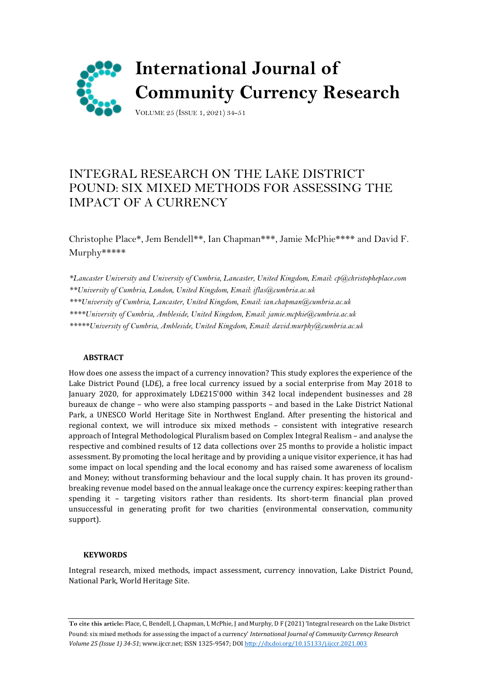

# INTEGRAL RESEARCH ON THE LAKE DISTRICT POUND: SIX MIXED METHODS FOR ASSESSING THE IMPACT OF A CURRENCY

Christophe Place\*, Jem Bendell\*\*, Ian Chapman\*\*\*, Jamie McPhie\*\*\*\* and David F. Murphy\*\*\*\*\*

*\*Lancaster University and University of Cumbria, Lancaster, United Kingdom, Email: [cp@christopheplace.com](mailto:cp@christopheplace.com)*

*\*\*University of Cumbria, London, United Kingdom, Email: iflas@cumbria.ac.uk* 

*\*\*\*University of Cumbria, Lancaster, United Kingdom, Email: ian.chapman@cumbria.ac.uk* 

*\*\*\*\*University of Cumbria, Ambleside, United Kingdom, Email: [jamie.mcphie@cumbria.ac.uk](mailto:jamie.mcphie@cumbria.ac.uk)*

*\*\*\*\*\*University of Cumbria, Ambleside, United Kingdom, Email[: david.murphy@cumbria.ac.uk](mailto:david.murphy@cumbria.ac.uk)*

## **ABSTRACT**

How does one assess the impact of a currency innovation? This study explores the experience of the Lake District Pound (LD£), a free local currency issued by a social enterprise from May 2018 to January 2020, for approximately LD£215'000 within 342 local independent businesses and 28 bureaux de change – who were also stamping passports – and based in the Lake District National Park, a UNESCO World Heritage Site in Northwest England. After presenting the historical and regional context, we will introduce six mixed methods – consistent with integrative research approach of Integral Methodological Pluralism based on Complex Integral Realism – and analyse the respective and combined results of 12 data collections over 25 months to provide a holistic impact assessment. By promoting the local heritage and by providing a unique visitor experience, it has had some impact on local spending and the local economy and has raised some awareness of localism and Money; without transforming behaviour and the local supply chain. It has proven its groundbreaking revenue model based on the annual leakage once the currency expires: keeping rather than spending it – targeting visitors rather than residents. Its short-term financial plan proved unsuccessful in generating profit for two charities (environmental conservation, community support).

## **KEYWORDS**

Integral research, mixed methods, impact assessment, currency innovation, Lake District Pound, National Park, World Heritage Site.

**To cite this article:** Place, C, Bendell, J, Chapman, I, McPhie, J and Murphy, D F (2021) 'Integral research on the Lake District Pound: six mixed methods for assessing the impact of a currency' *International Journal of Community Currency Research Volume 25 (Issue 1) 34-51*; www.ijccr.net; ISSN 1325-9547; DO[I http://dx.doi.org/10.15133/j.ijccr.2021.003](http://dx.doi.org/10.15133/j.ijccr.2021.003)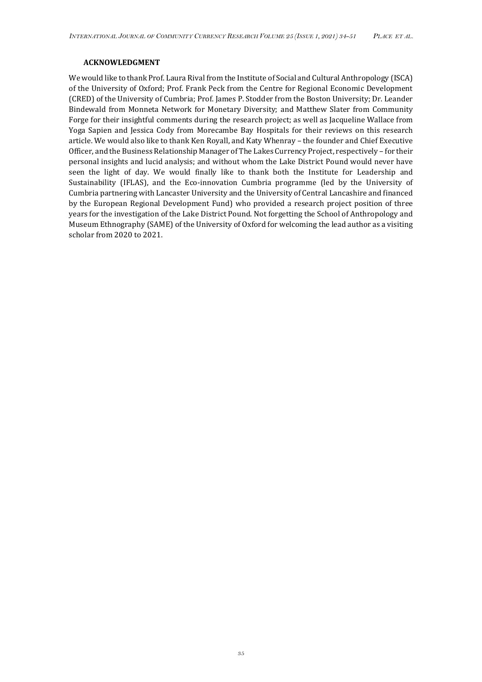#### **ACKNOWLEDGMENT**

We would like to thank Prof. Laura Rival from the Institute of Social and Cultural Anthropology (ISCA) of the University of Oxford; Prof. Frank Peck from the Centre for Regional Economic Development (CRED) of the University of Cumbria; Prof. James P. Stodder from the Boston University; Dr. Leander Bindewald from Monneta Network for Monetary Diversity; and Matthew Slater from Community Forge for their insightful comments during the research project; as well as Jacqueline Wallace from Yoga Sapien and Jessica Cody from Morecambe Bay Hospitals for their reviews on this research article. We would also like to thank Ken Royall, and Katy Whenray – the founder and Chief Executive Officer, and the Business Relationship Manager of The Lakes Currency Project, respectively – for their personal insights and lucid analysis; and without whom the Lake District Pound would never have seen the light of day. We would finally like to thank both the Institute for Leadership and Sustainability (IFLAS), and the Eco-innovation Cumbria programme (led by the University of Cumbria partnering with Lancaster University and the University of Central Lancashire and financed by the European Regional Development Fund) who provided a research project position of three years for the investigation of the Lake District Pound. Not forgetting the School of Anthropology and Museum Ethnography (SAME) of the University of Oxford for welcoming the lead author as a visiting scholar from 2020 to 2021.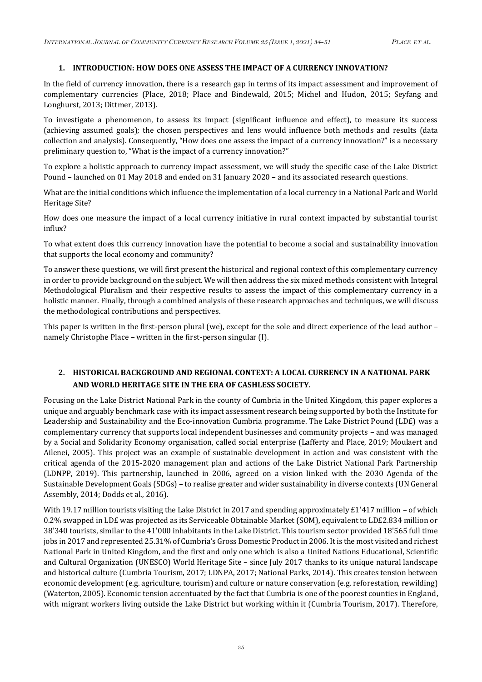#### **1. INTRODUCTION: HOW DOES ONE ASSESS THE IMPACT OF A CURRENCY INNOVATION?**

In the field of currency innovation, there is a research gap in terms of its impact assessment and improvement of complementary currencies (Place, 2018; Place and Bindewald, 2015; Michel and Hudon, 2015; Seyfang and Longhurst, 2013; Dittmer, 2013).

To investigate a phenomenon, to assess its impact (significant influence and effect), to measure its success (achieving assumed goals); the chosen perspectives and lens would influence both methods and results (data collection and analysis). Consequently, "How does one assess the impact of a currency innovation?" is a necessary preliminary question to, "What is the impact of a currency innovation?"

To explore a holistic approach to currency impact assessment, we will study the specific case of the Lake District Pound – launched on 01 May 2018 and ended on 31 January 2020 – and its associated research questions.

What are the initial conditions which influence the implementation of a local currency in a National Park and World Heritage Site?

How does one measure the impact of a local currency initiative in rural context impacted by substantial tourist influx?

To what extent does this currency innovation have the potential to become a social and sustainability innovation that supports the local economy and community?

To answer these questions, we will first present the historical and regional context of this complementary currency in order to provide background on the subject. We will then address the six mixed methods consistent with Integral Methodological Pluralism and their respective results to assess the impact of this complementary currency in a holistic manner. Finally, through a combined analysis of these research approaches and techniques, we will discuss the methodological contributions and perspectives.

This paper is written in the first-person plural (we), except for the sole and direct experience of the lead author – namely Christophe Place – written in the first-person singular (I).

# **2. HISTORICAL BACKGROUND AND REGIONAL CONTEXT: A LOCAL CURRENCY IN A NATIONAL PARK AND WORLD HERITAGE SITE IN THE ERA OF CASHLESS SOCIETY.**

Focusing on the Lake District National Park in the county of Cumbria in the United Kingdom, this paper explores a unique and arguably benchmark case with its impact assessment research being supported by both the Institute for Leadership and Sustainability and the Eco-innovation Cumbria programme. The Lake District Pound (LD£) was a complementary currency that supports local independent businesses and community projects – and was managed by a Social and Solidarity Economy organisation, called social enterprise (Lafferty and Place, 2019; Moulaert and Ailenei, 2005). This project was an example of sustainable development in action and was consistent with the critical agenda of the 2015-2020 management plan and actions of the Lake District National Park Partnership (LDNPP, 2019). This partnership, launched in 2006, agreed on a vision linked with the 2030 Agenda of the Sustainable Development Goals (SDGs) – to realise greater and wider sustainability in diverse contexts (UN General Assembly, 2014; Dodds et al., 2016).

With 19.17 million tourists visiting the Lake District in 2017 and spending approximately £1'417 million – of which 0.2% swapped in LD£ was projected as its Serviceable Obtainable Market (SOM), equivalent to LD£2.834 million or 38'340 tourists, similar to the 41'000 inhabitants in the Lake District. This tourism sector provided 18'565 full time jobs in 2017 and represented 25.31% of Cumbria's Gross Domestic Product in 2006. It is the most visited and richest National Park in United Kingdom, and the first and only one which is also a United Nations Educational, Scientific and Cultural Organization (UNESCO) World Heritage Site – since July 2017 thanks to its unique natural landscape and historical culture (Cumbria Tourism, 2017; LDNPA, 2017; National Parks, 2014). This creates tension between economic development (e.g. agriculture, tourism) and culture or nature conservation (e.g. reforestation, rewilding) (Waterton, 2005). Economic tension accentuated by the fact that Cumbria is one of the poorest counties in England, with migrant workers living outside the Lake District but working within it (Cumbria Tourism, 2017). Therefore,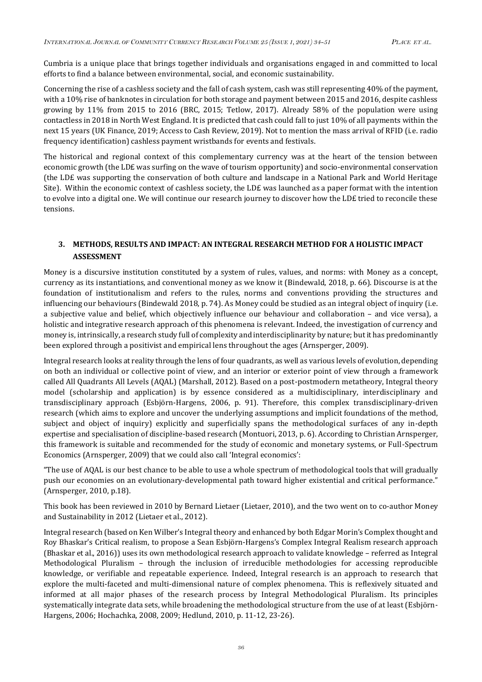Cumbria is a unique place that brings together individuals and organisations engaged in and committed to local efforts to find a balance between environmental, social, and economic sustainability.

Concerning the rise of a cashless society and the fall of cash system, cash was still representing 40% of the payment, with a 10% rise of banknotes in circulation for both storage and payment between 2015 and 2016, despite cashless growing by 11% from 2015 to 2016 (BRC, 2015; Tetlow, 2017). Already 58% of the population were using contactless in 2018 in North West England. It is predicted that cash could fall to just 10% of all payments within the next 15 years (UK Finance, 2019; Access to Cash Review, 2019). Not to mention the mass arrival of RFID (i.e. radio frequency identification) cashless payment wristbands for events and festivals.

The historical and regional context of this complementary currency was at the heart of the tension between economic growth (the LD£ was surfing on the wave of tourism opportunity) and socio-environmental conservation (the LD£ was supporting the conservation of both culture and landscape in a National Park and World Heritage Site). Within the economic context of cashless society, the LD£ was launched as a paper format with the intention to evolve into a digital one. We will continue our research journey to discover how the LD£ tried to reconcile these tensions.

# **3. METHODS, RESULTS AND IMPACT: AN INTEGRAL RESEARCH METHOD FOR A HOLISTIC IMPACT ASSESSMENT**

Money is a discursive institution constituted by a system of rules, values, and norms: with Money as a concept, currency as its instantiations, and conventional money as we know it (Bindewald, 2018, p. 66). Discourse is at the foundation of institutionalism and refers to the rules, norms and conventions providing the structures and influencing our behaviours (Bindewald 2018, p. 74). As Money could be studied as an integral object of inquiry (i.e. a subjective value and belief, which objectively influence our behaviour and collaboration – and vice versa), a holistic and integrative research approach of this phenomena is relevant. Indeed, the investigation of currency and money is, intrinsically, a research study full of complexity and interdisciplinarity by nature; but it has predominantly been explored through a positivist and empirical lens throughout the ages (Arnsperger, 2009).

Integral research looks at reality through the lens of four quadrants, as well as various levels of evolution, depending on both an individual or collective point of view, and an interior or exterior point of view through a framework called All Quadrants All Levels (AQAL) (Marshall, 2012). Based on a post-postmodern metatheory, Integral theory model (scholarship and application) is by essence considered as a multidisciplinary, interdisciplinary and transdisciplinary approach (Esbjörn-Hargens, 2006, p. 91). Therefore, this complex transdisciplinary-driven research (which aims to explore and uncover the underlying assumptions and implicit foundations of the method, subject and object of inquiry) explicitly and superficially spans the methodological surfaces of any in-depth expertise and specialisation of discipline-based research (Montuori, 2013, p. 6). According to Christian Arnsperger, this framework is suitable and recommended for the study of economic and monetary systems, or Full-Spectrum Economics (Arnsperger, 2009) that we could also call 'Integral economics':

"The use of AQAL is our best chance to be able to use a whole spectrum of methodological tools that will gradually push our economies on an evolutionary-developmental path toward higher existential and critical performance." (Arnsperger, 2010, p.18).

This book has been reviewed in 2010 by Bernard Lietaer (Lietaer, 2010), and the two went on to co-author Money and Sustainability in 2012 (Lietaer et al., 2012).

Integral research (based on Ken Wilber's Integral theory and enhanced by both Edgar Morin's Complex thought and Roy Bhaskar's Critical realism, to propose a Sean Esbjörn-Hargens's Complex Integral Realism research approach (Bhaskar et al., 2016)) uses its own methodological research approach to validate knowledge – referred as Integral Methodological Pluralism – through the inclusion of irreducible methodologies for accessing reproducible knowledge, or verifiable and repeatable experience. Indeed, Integral research is an approach to research that explore the multi-faceted and multi-dimensional nature of complex phenomena. This is reflexively situated and informed at all major phases of the research process by Integral Methodological Pluralism. Its principles systematically integrate data sets, while broadening the methodological structure from the use of at least (Esbjörn-Hargens, 2006; Hochachka, 2008, 2009; Hedlund, 2010, p. 11-12, 23-26).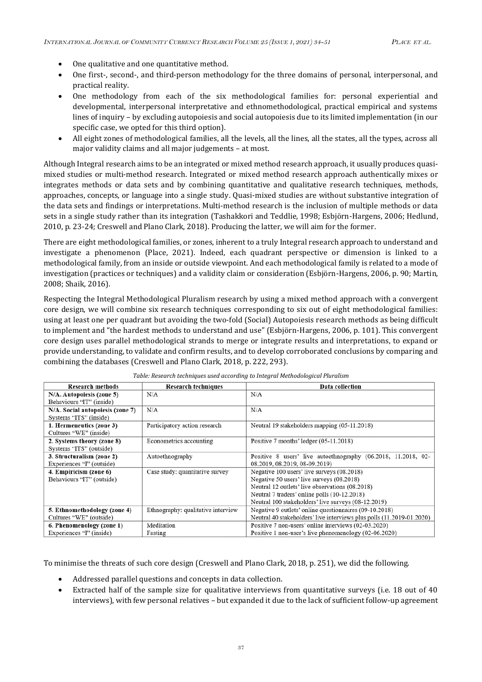- One qualitative and one quantitative method.
- One first-, second-, and third-person methodology for the three domains of personal, interpersonal, and practical reality.
- One methodology from each of the six methodological families for: personal experiential and developmental, interpersonal interpretative and ethnomethodological, practical empirical and systems lines of inquiry – by excluding autopoiesis and social autopoiesis due to its limited implementation (in our specific case, we opted for this third option).
- All eight zones of methodological families, all the levels, all the lines, all the states, all the types, across all major validity claims and all major judgements – at most.

Although Integral research aims to be an integrated or mixed method research approach, it usually produces quasimixed studies or multi-method research. Integrated or mixed method research approach authentically mixes or integrates methods or data sets and by combining quantitative and qualitative research techniques, methods, approaches, concepts, or language into a single study. Quasi-mixed studies are without substantive integration of the data sets and findings or interpretations. Multi-method research is the inclusion of multiple methods or data sets in a single study rather than its integration (Tashakkori and Teddlie, 1998; Esbjörn-Hargens, 2006; Hedlund, 2010, p. 23-24; Creswell and Plano Clark, 2018). Producing the latter, we will aim for the former.

There are eight methodological families, or zones, inherent to a truly Integral research approach to understand and investigate a phenomenon (Place, 2021). Indeed, each quadrant perspective or dimension is linked to a methodological family, from an inside or outside viewpoint. And each methodological family is related to a mode of investigation (practices or techniques) and a validity claim or consideration (Esbjörn-Hargens, 2006, p. 90; Martin, 2008; Shaik, 2016).

Respecting the Integral Methodological Pluralism research by using a mixed method approach with a convergent core design, we will combine six research techniques corresponding to six out of eight methodological families: using at least one per quadrant but avoiding the two-fold (Social) Autopoiesis research methods as being difficult to implement and "the hardest methods to understand and use" (Esbjörn-Hargens, 2006, p. 101). This convergent core design uses parallel methodological strands to merge or integrate results and interpretations, to expand or provide understanding, to validate and confirm results, and to develop corroborated conclusions by comparing and combining the databases (Creswell and Plano Clark, 2018, p. 222, 293).

| <b>Research methods</b>          | <b>Research techniques</b>         | Data collection                                                       |
|----------------------------------|------------------------------------|-----------------------------------------------------------------------|
| N/A. Autopoiesis (zone 5)        | N/A                                | N/A                                                                   |
| Behaviours "IT" (inside)         |                                    |                                                                       |
| N/A. Social autopoiesis (zone 7) | N/A                                | N/A                                                                   |
| Systems "ITS" (inside)           |                                    |                                                                       |
| 1. Hermeneutics (zone 3)         | Participatory action research      | Neutral 19 stakeholders mapping (05-11.2018)                          |
| Cultures "WE" (inside)           |                                    |                                                                       |
| 2. Systems theory (zone 8)       | Econometrics accounting            | Positive 7 months' ledger (05-11.2018)                                |
| Systems "ITS" (outside)          |                                    |                                                                       |
| 3. Structuralism (zone 2)        | Autoethnography                    | Positive 8 users' live autoethnography (06.2018, 11.2018, 02-         |
| Experiences "I" (outside)        |                                    | 08.2019, 08.2019, 08-09.2019)                                         |
| 4. Empiricism (zone 6)           | Case study: quantitative survey    | Negative 100 users' live surveys (08.2018)                            |
| Behaviours "IT" (outside)        |                                    | Negative 50 users' live surveys (08.2018)                             |
|                                  |                                    | Neutral 12 outlets' live observations (08.2018)                       |
|                                  |                                    | Neutral 7 traders' online polls (10-12.2018)                          |
|                                  |                                    | Neutral 100 stakeholders' live surveys (08-12.2019)                   |
| 5. Ethnomethodology (zone 4)     | Ethnography: qualitative interview | Negative 9 outlets' online questionnaires (09-10.2018)                |
| Cultures "WE" (outside)          |                                    | Neutral 40 stakeholders' live interviews plus polls (11.2019-01.2020) |
| 6. Phenomenology (zone 1)        | Meditation                         | Positive 7 non-users' online interviews (02-03.2020)                  |
| Experiences "I" (inside)         | Fasting                            | Positive 1 non-user's live phenomenology (02-06.2020)                 |

|  |  | Table: Research techniques used according to Integral Methodological Pluralism |
|--|--|--------------------------------------------------------------------------------|
|  |  |                                                                                |

To minimise the threats of such core design (Creswell and Plano Clark, 2018, p. 251), we did the following.

- Addressed parallel questions and concepts in data collection.
- Extracted half of the sample size for qualitative interviews from quantitative surveys (i.e. 18 out of 40 interviews), with few personal relatives – but expanded it due to the lack of sufficient follow-up agreement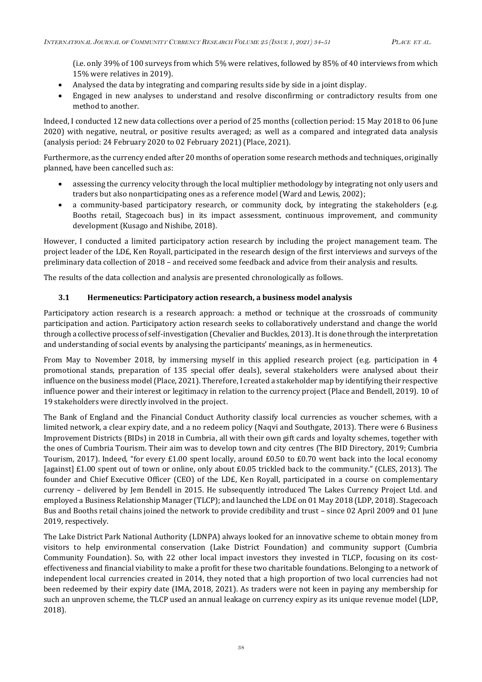(i.e. only 39% of 100 surveys from which 5% were relatives, followed by 85% of 40 interviews from which 15% were relatives in 2019).

- Analysed the data by integrating and comparing results side by side in a joint display.
- Engaged in new analyses to understand and resolve disconfirming or contradictory results from one method to another.

Indeed, I conducted 12 new data collections over a period of 25 months (collection period: 15 May 2018 to 06 June 2020) with negative, neutral, or positive results averaged; as well as a compared and integrated data analysis (analysis period: 24 February 2020 to 02 February 2021) (Place, 2021).

Furthermore, as the currency ended after 20 months of operation some research methods and techniques, originally planned, have been cancelled such as:

- assessing the currency velocity through the local multiplier methodology by integrating not only users and traders but also nonparticipating ones as a reference model (Ward and Lewis, 2002);
- a community-based participatory research, or community dock, by integrating the stakeholders (e.g. Booths retail, Stagecoach bus) in its impact assessment, continuous improvement, and community development (Kusago and Nishibe, 2018).

However, I conducted a limited participatory action research by including the project management team. The project leader of the LD£, Ken Royall, participated in the research design of the first interviews and surveys of the preliminary data collection of 2018 – and received some feedback and advice from their analysis and results.

The results of the data collection and analysis are presented chronologically as follows.

## **3.1 Hermeneutics: Participatory action research, a business model analysis**

Participatory action research is a research approach: a method or technique at the crossroads of community participation and action. Participatory action research seeks to collaboratively understand and change the world through a collective process of self-investigation (Chevalier and Buckles, 2013). Itis done through the interpretation and understanding of social events by analysing the participants' meanings, as in hermeneutics.

From May to November 2018, by immersing myself in this applied research project (e.g. participation in 4 promotional stands, preparation of 135 special offer deals), several stakeholders were analysed about their influence on the business model (Place, 2021). Therefore, I created a stakeholder map by identifying their respective influence power and their interest or legitimacy in relation to the currency project (Place and Bendell, 2019). 10 of 19 stakeholders were directly involved in the project.

The Bank of England and the Financial Conduct Authority classify local currencies as voucher schemes, with a limited network, a clear expiry date, and a no redeem policy (Naqvi and Southgate, 2013). There were 6 Business Improvement Districts (BIDs) in 2018 in Cumbria, all with their own gift cards and loyalty schemes, together with the ones of Cumbria Tourism. Their aim was to develop town and city centres (The BID Directory, 2019; Cumbria Tourism, 2017). Indeed, "for every £1.00 spent locally, around £0.50 to £0.70 went back into the local economy [against] £1.00 spent out of town or online, only about £0.05 trickled back to the community." (CLES, 2013). The founder and Chief Executive Officer (CEO) of the LD£, Ken Royall, participated in a course on complementary currency – delivered by Jem Bendell in 2015. He subsequently introduced The Lakes Currency Project Ltd. and employed a Business Relationship Manager (TLCP); and launched the LD£ on 01 May 2018 (LDP, 2018). Stagecoach Bus and Booths retail chains joined the network to provide credibility and trust – since 02 April 2009 and 01 June 2019, respectively.

The Lake District Park National Authority (LDNPA) always looked for an innovative scheme to obtain money from visitors to help environmental conservation (Lake District Foundation) and community support (Cumbria Community Foundation). So, with 22 other local impact investors they invested in TLCP, focusing on its costeffectiveness and financial viability to make a profit for these two charitable foundations. Belonging to a network of independent local currencies created in 2014, they noted that a high proportion of two local currencies had not been redeemed by their expiry date (IMA, 2018, 2021). As traders were not keen in paying any membership for such an unproven scheme, the TLCP used an annual leakage on currency expiry as its unique revenue model (LDP, 2018).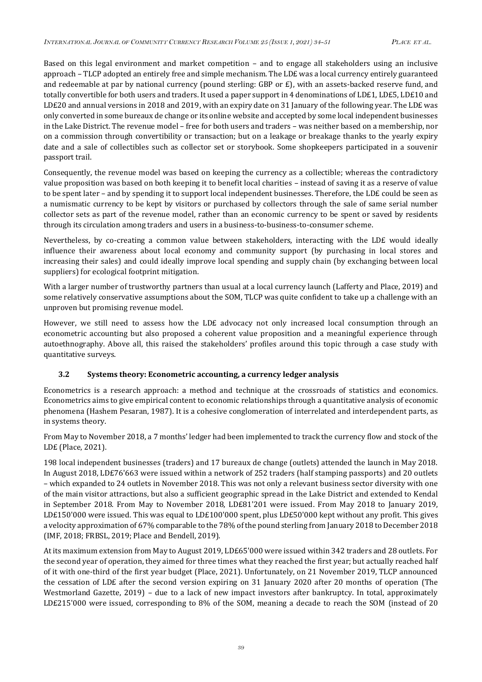Based on this legal environment and market competition – and to engage all stakeholders using an inclusive approach – TLCP adopted an entirely free and simple mechanism. The LD£ was a local currency entirely guaranteed and redeemable at par by national currency (pound sterling: GBP or £), with an assets-backed reserve fund, and totally convertible for both users and traders. It used a paper support in 4 denominations of LD£1, LD£5, LD£10 and LD£20 and annual versions in 2018 and 2019, with an expiry date on 31 January of the following year. The LD£ was only converted in some bureaux de change or its online website and accepted by some local independent businesses in the Lake District. The revenue model – free for both users and traders – was neither based on a membership, nor on a commission through convertibility or transaction; but on a leakage or breakage thanks to the yearly expiry date and a sale of collectibles such as collector set or storybook. Some shopkeepers participated in a souvenir passport trail.

Consequently, the revenue model was based on keeping the currency as a collectible; whereas the contradictory value proposition was based on both keeping it to benefit local charities – instead of saving it as a reserve of value to be spent later – and by spending it to support local independent businesses. Therefore, the LD£ could be seen as a numismatic currency to be kept by visitors or purchased by collectors through the sale of same serial number collector sets as part of the revenue model, rather than an economic currency to be spent or saved by residents through its circulation among traders and users in a business-to-business-to-consumer scheme.

Nevertheless, by co-creating a common value between stakeholders, interacting with the LD£ would ideally influence their awareness about local economy and community support (by purchasing in local stores and increasing their sales) and could ideally improve local spending and supply chain (by exchanging between local suppliers) for ecological footprint mitigation.

With a larger number of trustworthy partners than usual at a local currency launch (Lafferty and Place, 2019) and some relatively conservative assumptions about the SOM, TLCP was quite confident to take up a challenge with an unproven but promising revenue model.

However, we still need to assess how the LD£ advocacy not only increased local consumption through an econometric accounting but also proposed a coherent value proposition and a meaningful experience through autoethnography. Above all, this raised the stakeholders' profiles around this topic through a case study with quantitative surveys.

## **3.2 Systems theory: Econometric accounting, a currency ledger analysis**

Econometrics is a research approach: a method and technique at the crossroads of statistics and economics. Econometrics aims to give empirical content to economic relationships through a quantitative analysis of economic phenomena (Hashem Pesaran, 1987). It is a cohesive conglomeration of interrelated and interdependent parts, as in systems theory.

From May to November 2018, a 7 months' ledger had been implemented to track the currency flow and stock of the LD£ (Place, 2021).

198 local independent businesses (traders) and 17 bureaux de change (outlets) attended the launch in May 2018. In August 2018, LD£76'663 were issued within a network of 252 traders (half stamping passports) and 20 outlets – which expanded to 24 outlets in November 2018. This was not only a relevant business sector diversity with one of the main visitor attractions, but also a sufficient geographic spread in the Lake District and extended to Kendal in September 2018. From May to November 2018, LD£81'201 were issued. From May 2018 to January 2019, LD£150'000 were issued. This was equal to LD£100'000 spent, plus LD£50'000 kept without any profit. This gives a velocity approximation of 67% comparable to the 78% of the pound sterling from January 2018 to December 2018 (IMF, 2018; FRBSL, 2019; Place and Bendell, 2019).

At its maximum extension from May to August 2019, LD£65'000 were issued within 342 traders and 28 outlets. For the second year of operation, they aimed for three times what they reached the first year; but actually reached half of it with one-third of the first year budget (Place, 2021). Unfortunately, on 21 November 2019, TLCP announced the cessation of LD£ after the second version expiring on 31 January 2020 after 20 months of operation (The Westmorland Gazette, 2019) – due to a lack of new impact investors after bankruptcy. In total, approximately LD£215'000 were issued, corresponding to 8% of the SOM, meaning a decade to reach the SOM (instead of 20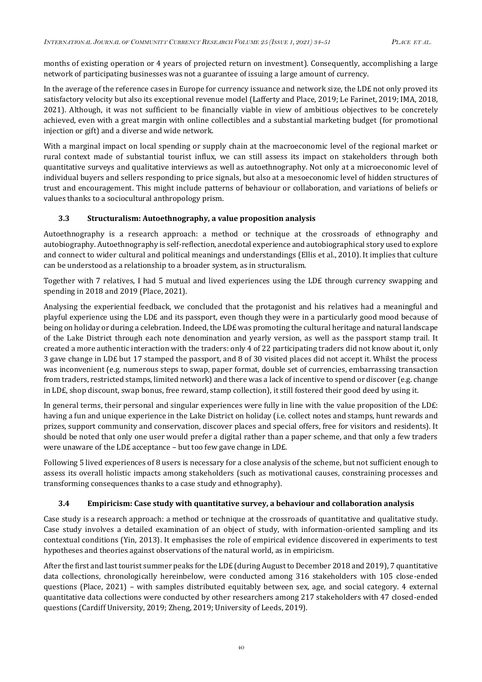months of existing operation or 4 years of projected return on investment). Consequently, accomplishing a large network of participating businesses was not a guarantee of issuing a large amount of currency.

In the average of the reference cases in Europe for currency issuance and network size, the LD£ not only proved its satisfactory velocity but also its exceptional revenue model (Lafferty and Place, 2019; Le Farinet, 2019; IMA, 2018, 2021). Although, it was not sufficient to be financially viable in view of ambitious objectives to be concretely achieved, even with a great margin with online collectibles and a substantial marketing budget (for promotional injection or gift) and a diverse and wide network.

With a marginal impact on local spending or supply chain at the macroeconomic level of the regional market or rural context made of substantial tourist influx, we can still assess its impact on stakeholders through both quantitative surveys and qualitative interviews as well as autoethnography. Not only at a microeconomic level of individual buyers and sellers responding to price signals, but also at a mesoeconomic level of hidden structures of trust and encouragement. This might include patterns of behaviour or collaboration, and variations of beliefs or values thanks to a sociocultural anthropology prism.

## **3.3 Structuralism: Autoethnography, a value proposition analysis**

Autoethnography is a research approach: a method or technique at the crossroads of ethnography and autobiography. Autoethnography is self-reflection, anecdotal experience and autobiographical story used to explore and connect to wider cultural and political meanings and understandings (Ellis et al., 2010). It implies that culture can be understood as a relationship to a broader system, as in structuralism.

Together with 7 relatives, I had 5 mutual and lived experiences using the LD£ through currency swapping and spending in 2018 and 2019 (Place, 2021).

Analysing the experiential feedback, we concluded that the protagonist and his relatives had a meaningful and playful experience using the LD£ and its passport, even though they were in a particularly good mood because of being on holiday or during a celebration. Indeed, the LD£ was promoting the cultural heritage and natural landscape of the Lake District through each note denomination and yearly version, as well as the passport stamp trail. It created a more authentic interaction with the traders: only 4 of 22 participating traders did not know about it, only 3 gave change in LD£ but 17 stamped the passport, and 8 of 30 visited places did not accept it. Whilst the process was inconvenient (e.g. numerous steps to swap, paper format, double set of currencies, embarrassing transaction from traders, restricted stamps, limited network) and there was a lack of incentive to spend or discover (e.g. change in LD£, shop discount, swap bonus, free reward, stamp collection), it still fostered their good deed by using it.

In general terms, their personal and singular experiences were fully in line with the value proposition of the LD£: having a fun and unique experience in the Lake District on holiday (i.e. collect notes and stamps, hunt rewards and prizes, support community and conservation, discover places and special offers, free for visitors and residents). It should be noted that only one user would prefer a digital rather than a paper scheme, and that only a few traders were unaware of the LD£ acceptance – but too few gave change in LD£.

Following 5 lived experiences of 8 users is necessary for a close analysis of the scheme, but not sufficient enough to assess its overall holistic impacts among stakeholders (such as motivational causes, constraining processes and transforming consequences thanks to a case study and ethnography).

## **3.4 Empiricism: Case study with quantitative survey, a behaviour and collaboration analysis**

Case study is a research approach: a method or technique at the crossroads of quantitative and qualitative study. Case study involves a detailed examination of an object of study, with information-oriented sampling and its contextual conditions (Yin, 2013). It emphasises the role of empirical evidence discovered in experiments to test hypotheses and theories against observations of the natural world, as in empiricism.

After the first and last tourist summer peaks for the LD£ (during August to December 2018 and 2019), 7 quantitative data collections, chronologically hereinbelow, were conducted among 316 stakeholders with 105 close-ended questions (Place, 2021) – with samples distributed equitably between sex, age, and social category. 4 external quantitative data collections were conducted by other researchers among 217 stakeholders with 47 closed-ended questions (Cardiff University, 2019; Zheng, 2019; University of Leeds, 2019).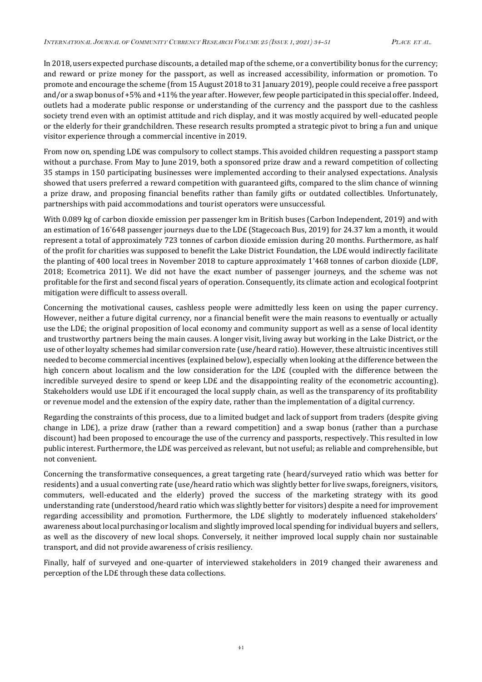In 2018, users expected purchase discounts, a detailed map of the scheme, or a convertibility bonus for the currency; and reward or prize money for the passport, as well as increased accessibility, information or promotion. To promote and encourage the scheme (from 15 August 2018 to 31 January 2019), people could receive a free passport and/or a swap bonus of +5% and +11% the year after. However, few people participated in this special offer. Indeed, outlets had a moderate public response or understanding of the currency and the passport due to the cashless society trend even with an optimist attitude and rich display, and it was mostly acquired by well-educated people or the elderly for their grandchildren. These research results prompted a strategic pivot to bring a fun and unique visitor experience through a commercial incentive in 2019.

From now on, spending LD£ was compulsory to collect stamps. This avoided children requesting a passport stamp without a purchase. From May to June 2019, both a sponsored prize draw and a reward competition of collecting 35 stamps in 150 participating businesses were implemented according to their analysed expectations. Analysis showed that users preferred a reward competition with guaranteed gifts, compared to the slim chance of winning a prize draw, and proposing financial benefits rather than family gifts or outdated collectibles. Unfortunately, partnerships with paid accommodations and tourist operators were unsuccessful.

With 0.089 kg of carbon dioxide emission per passenger km in British buses (Carbon Independent, 2019) and with an estimation of 16'648 passenger journeys due to the LD£ (Stagecoach Bus, 2019) for 24.37 km a month, it would represent a total of approximately 723 tonnes of carbon dioxide emission during 20 months. Furthermore, as half of the profit for charities was supposed to benefit the Lake District Foundation, the LD£ would indirectly facilitate the planting of 400 local trees in November 2018 to capture approximately 1'468 tonnes of carbon dioxide (LDF, 2018; Ecometrica 2011). We did not have the exact number of passenger journeys, and the scheme was not profitable for the first and second fiscal years of operation. Consequently, its climate action and ecological footprint mitigation were difficult to assess overall.

Concerning the motivational causes, cashless people were admittedly less keen on using the paper currency. However, neither a future digital currency, nor a financial benefit were the main reasons to eventually or actually use the LD£; the original proposition of local economy and community support as well as a sense of local identity and trustworthy partners being the main causes. A longer visit, living away but working in the Lake District, or the use of other loyalty schemes had similar conversion rate (use/heard ratio). However, these altruistic incentives still needed to become commercial incentives (explained below), especially when looking at the difference between the high concern about localism and the low consideration for the LD£ (coupled with the difference between the incredible surveyed desire to spend or keep LD£ and the disappointing reality of the econometric accounting). Stakeholders would use LD£ if it encouraged the local supply chain, as well as the transparency of its profitability or revenue model and the extension of the expiry date, rather than the implementation of a digital currency.

Regarding the constraints of this process, due to a limited budget and lack of support from traders (despite giving change in LD£), a prize draw (rather than a reward competition) and a swap bonus (rather than a purchase discount) had been proposed to encourage the use of the currency and passports, respectively. This resulted in low public interest. Furthermore, the LD£ was perceived as relevant, but not useful; as reliable and comprehensible, but not convenient.

Concerning the transformative consequences, a great targeting rate (heard/surveyed ratio which was better for residents) and a usual converting rate (use/heard ratio which was slightly better for live swaps, foreigners, visitors, commuters, well-educated and the elderly) proved the success of the marketing strategy with its good understanding rate (understood/heard ratio which was slightly better for visitors) despite a need for improvement regarding accessibility and promotion. Furthermore, the LD£ slightly to moderately influenced stakeholders' awareness about local purchasing or localism and slightly improved local spending for individual buyers and sellers, as well as the discovery of new local shops. Conversely, it neither improved local supply chain nor sustainable transport, and did not provide awareness of crisis resiliency.

Finally, half of surveyed and one-quarter of interviewed stakeholders in 2019 changed their awareness and perception of the LD£ through these data collections.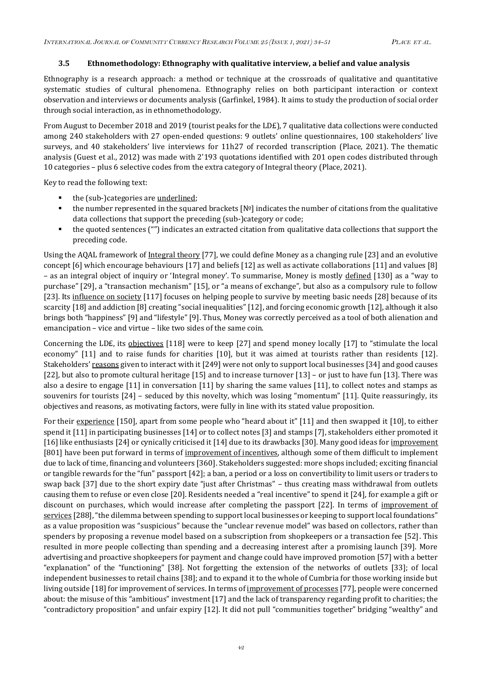#### **3.5 Ethnomethodology: Ethnography with qualitative interview, a belief and value analysis**

Ethnography is a research approach: a method or technique at the crossroads of qualitative and quantitative systematic studies of cultural phenomena. Ethnography relies on both participant interaction or context observation and interviews or documents analysis (Garfinkel, 1984). It aims to study the production of social order through social interaction, as in ethnomethodology.

From August to December 2018 and 2019 (tourist peaks for the LD£), 7 qualitative data collections were conducted among 240 stakeholders with 27 open-ended questions: 9 outlets' online questionnaires, 100 stakeholders' live surveys, and 40 stakeholders' live interviews for 11h27 of recorded transcription (Place, 2021). The thematic analysis (Guest et al., 2012) was made with 2'193 quotations identified with 201 open codes distributed through 10 categories – plus 6 selective codes from the extra category of Integral theory (Place, 2021).

Key to read the following text:

- the (sub-)categories are <u>underlined</u>;
- the number represented in the squared brackets  $[N<sup>°</sup>]$  indicates the number of citations from the qualitative data collections that support the preceding (sub-)category or code;
- the quoted sentences ("") indicates an extracted citation from qualitative data collections that support the preceding code.

Using the AQAL framework of Integral theory [77], we could define Money as a changing rule [23] and an evolutive concept [6] which encourage behaviours [17] and beliefs [12] as well as activate collaborations [11] and values [8] – as an integral object of inquiry or 'Integral money'. To summarise, Money is mostly defined [130] as a "way to purchase" [29], a "transaction mechanism" [15], or "a means of exchange", but also as a compulsory rule to follow [23]. Its influence on society [117] focuses on helping people to survive by meeting basic needs [28] because of its scarcity [18] and addiction [8] creating "social inequalities" [12], and forcing economic growth [12], although it also brings both "happiness" [9] and "lifestyle" [9]. Thus, Money was correctly perceived as a tool of both alienation and emancipation – vice and virtue – like two sides of the same coin.

Concerning the LD£, its objectives [118] were to keep [27] and spend money locally [17] to "stimulate the local economy" [11] and to raise funds for charities [10], but it was aimed at tourists rather than residents [12]. Stakeholders' reasons given to interact with it [249] were not only to support local businesses [34] and good causes [22], but also to promote cultural heritage [15] and to increase turnover [13] – or just to have fun [13]. There was also a desire to engage [11] in conversation [11] by sharing the same values [11], to collect notes and stamps as souvenirs for tourists [24] – seduced by this novelty, which was losing "momentum" [11]. Quite reassuringly, its objectives and reasons, as motivating factors, were fully in line with its stated value proposition.

For their experience [150], apart from some people who "heard about it" [11] and then swapped it [10], to either spend it [11] in participating businesses [14] or to collect notes [3] and stamps [7], stakeholders either promoted it [16] like enthusiasts [24] or cynically criticised it [14] due to its drawbacks [30]. Many good ideas for improvement [801] have been put forward in terms of improvement of incentives, although some of them difficult to implement due to lack of time, financing and volunteers [360]. Stakeholders suggested: more shops included; exciting financial or tangible rewards for the "fun" passport [42]; a ban, a period or a loss on convertibility to limit users or traders to swap back [37] due to the short expiry date "just after Christmas" – thus creating mass withdrawal from outlets causing them to refuse or even close [20]. Residents needed a "real incentive" to spend it [24], for example a gift or discount on purchases, which would increase after completing the passport [22]. In terms of improvement of services [288], "the dilemma between spending to support local businesses or keeping to support local foundations" as a value proposition was "suspicious" because the "unclear revenue model" was based on collectors, rather than spenders by proposing a revenue model based on a subscription from shopkeepers or a transaction fee [52]. This resulted in more people collecting than spending and a decreasing interest after a promising launch [39]. More advertising and proactive shopkeepers for payment and change could have improved promotion [57] with a better "explanation" of the "functioning" [38]. Not forgetting the extension of the networks of outlets [33]; of local independent businesses to retail chains [38]; and to expand it to the whole of Cumbria for those working inside but living outside [18] for improvement of services. In terms of improvement of processes [77], people were concerned about: the misuse of this "ambitious" investment [17] and the lack of transparency regarding profit to charities; the "contradictory proposition" and unfair expiry [12]. It did not pull "communities together" bridging "wealthy" and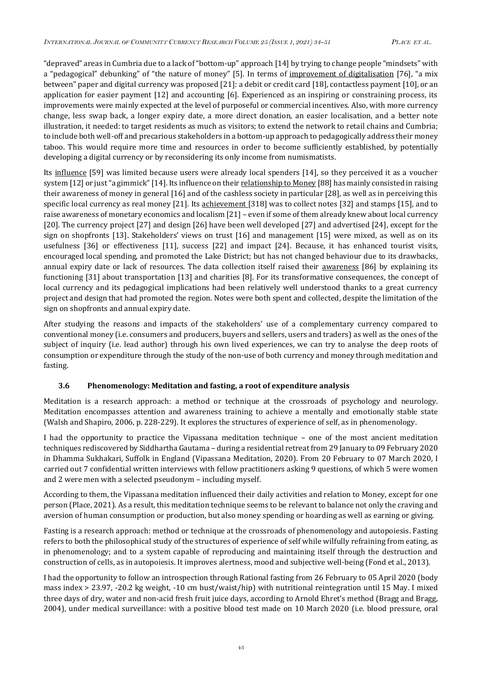"depraved" areas in Cumbria due to a lack of "bottom-up" approach [14] by trying to change people "mindsets" with a "pedagogical" debunking" of "the nature of money" [5]. In terms of improvement of digitalisation [76], "a mix between" paper and digital currency was proposed [21]: a debit or credit card [18], contactless payment [10], or an application for easier payment [12] and accounting [6]. Experienced as an inspiring or constraining process, its improvements were mainly expected at the level of purposeful or commercial incentives. Also, with more currency change, less swap back, a longer expiry date, a more direct donation, an easier localisation, and a better note illustration, it needed: to target residents as much as visitors; to extend the network to retail chains and Cumbria; to include both well-off and precarious stakeholders in a bottom-up approach to pedagogically address their money taboo. This would require more time and resources in order to become sufficiently established, by potentially developing a digital currency or by reconsidering its only income from numismatists.

Its influence [59] was limited because users were already local spenders [14], so they perceived it as a voucher system [12] or just "a gimmick" [14]. Its influence on their relationship to Money [88] has mainly consisted in raising their awareness of money in general [16] and of the cashless society in particular [28], as well as in perceiving this specific local currency as real money [21]. Its achievement [318] was to collect notes [32] and stamps [15], and to raise awareness of monetary economics and localism [21] – even if some of them already knew about local currency [20]. The currency project [27] and design [26] have been well developed [27] and advertised [24], except for the sign on shopfronts [13]. Stakeholders' views on trust [16] and management [15] were mixed, as well as on its usefulness [36] or effectiveness [11], success [22] and impact [24]. Because, it has enhanced tourist visits, encouraged local spending, and promoted the Lake District; but has not changed behaviour due to its drawbacks, annual expiry date or lack of resources. The data collection itself raised their **awareness** [86] by explaining its functioning [31] about transportation [13] and charities [8]. For its transformative consequences, the concept of local currency and its pedagogical implications had been relatively well understood thanks to a great currency project and design that had promoted the region. Notes were both spent and collected, despite the limitation of the sign on shopfronts and annual expiry date.

After studying the reasons and impacts of the stakeholders' use of a complementary currency compared to conventional money (i.e. consumers and producers, buyers and sellers, users and traders) as well as the ones of the subject of inquiry (i.e. lead author) through his own lived experiences, we can try to analyse the deep roots of consumption or expenditure through the study of the non-use of both currency and money through meditation and fasting.

## **3.6 Phenomenology: Meditation and fasting, a root of expenditure analysis**

Meditation is a research approach: a method or technique at the crossroads of psychology and neurology. Meditation encompasses attention and awareness training to achieve a mentally and emotionally stable state (Walsh and Shapiro, 2006, p. 228-229). It explores the structures of experience of self, as in phenomenology.

I had the opportunity to practice the Vipassana meditation technique – one of the most ancient meditation techniques rediscovered by Siddhartha Gautama – during a residential retreat from 29 January to 09 February 2020 in Dhamma Sukhakari, Suffolk in England (Vipassana Meditation, 2020). From 20 February to 07 March 2020, I carried out 7 confidential written interviews with fellow practitioners asking 9 questions, of which 5 were women and 2 were men with a selected pseudonym – including myself.

According to them, the Vipassana meditation influenced their daily activities and relation to Money, except for one person (Place, 2021). As a result, this meditation technique seems to be relevant to balance not only the craving and aversion of human consumption or production, but also money spending or hoarding as well as earning or giving.

Fasting is a research approach: method or technique at the crossroads of phenomenology and autopoiesis. Fasting refers to both the philosophical study of the structures of experience of self while wilfully refraining from eating, as in phenomenology; and to a system capable of reproducing and maintaining itself through the destruction and construction of cells, as in autopoiesis. It improves alertness, mood and subjective well-being (Fond et al., 2013).

I had the opportunity to follow an introspection through Rational fasting from 26 February to 05 April 2020 (body mass index > 23.97, -20.2 kg weight, -10 cm bust/waist/hip) with nutritional reintegration until 15 May. I mixed three days of dry, water and non-acid fresh fruit juice days, according to Arnold Ehret's method (Bragg and Bragg, 2004), under medical surveillance: with a positive blood test made on 10 March 2020 (i.e. blood pressure, oral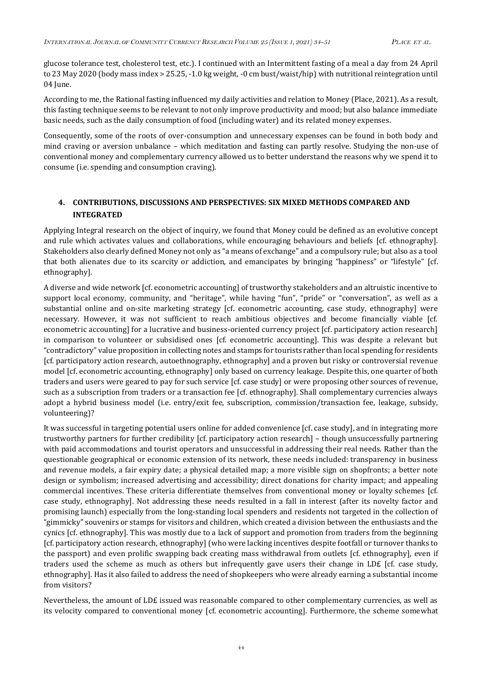glucose tolerance test, cholesterol test, etc.). I continued with an Intermittent fasting of a meal a day from 24 April to 23 May 2020 (body mass index > 25.25, -1.0 kg weight, -0 cm bust/waist/hip) with nutritional reintegration until 04 June.

According to me, the Rational fasting influenced my daily activities and relation to Money (Place, 2021). As a result, this fasting technique seems to be relevant to not only improve productivity and mood; but also balance immediate basic needs, such as the daily consumption of food (including water) and its related money expenses.

Consequently, some of the roots of over-consumption and unnecessary expenses can be found in both body and mind craving or aversion unbalance – which meditation and fasting can partly resolve. Studying the non-use of conventional money and complementary currency allowed us to better understand the reasons why we spend it to consume (i.e. spending and consumption craving).

# **4. CONTRIBUTIONS, DISCUSSIONS AND PERSPECTIVES: SIX MIXED METHODS COMPARED AND INTEGRATED**

Applying Integral research on the object of inquiry, we found that Money could be defined as an evolutive concept and rule which activates values and collaborations, while encouraging behaviours and beliefs [cf. ethnography]. Stakeholders also clearly defined Money not only as "a means of exchange" and a compulsory rule; but also as a tool that both alienates due to its scarcity or addiction, and emancipates by bringing "happiness" or "lifestyle" [cf. ethnography].

A diverse and wide network [cf. econometric accounting] of trustworthy stakeholders and an altruistic incentive to support local economy, community, and "heritage", while having "fun", "pride" or "conversation", as well as a substantial online and on-site marketing strategy [cf. econometric accounting, case study, ethnography] were necessary. However, it was not sufficient to reach ambitious objectives and become financially viable [cf. econometric accounting] for a lucrative and business-oriented currency project [cf. participatory action research] in comparison to volunteer or subsidised ones [cf. econometric accounting]. This was despite a relevant but "contradictory" value proposition in collecting notes and stamps for tourists rather than local spending for residents [cf. participatory action research, autoethnography, ethnography] and a proven but risky or controversial revenue model [cf. econometric accounting, ethnography] only based on currency leakage. Despite this, one quarter of both traders and users were geared to pay for such service [cf. case study] or were proposing other sources of revenue, such as a subscription from traders or a transaction fee [cf. ethnography]. Shall complementary currencies always adopt a hybrid business model (i.e. entry/exit fee, subscription, commission/transaction fee, leakage, subsidy, volunteering)?

It was successful in targeting potential users online for added convenience [cf. case study], and in integrating more trustworthy partners for further credibility [cf. participatory action research] – though unsuccessfully partnering with paid accommodations and tourist operators and unsuccessful in addressing their real needs. Rather than the questionable geographical or economic extension of its network, these needs included: transparency in business and revenue models, a fair expiry date; a physical detailed map; a more visible sign on shopfronts; a better note design or symbolism; increased advertising and accessibility; direct donations for charity impact; and appealing commercial incentives. These criteria differentiate themselves from conventional money or loyalty schemes [cf. case study, ethnography]. Not addressing these needs resulted in a fall in interest (after its novelty factor and promising launch) especially from the long-standing local spenders and residents not targeted in the collection of "gimmicky" souvenirs or stamps for visitors and children, which created a division between the enthusiasts and the cynics [cf. ethnography]. This was mostly due to a lack of support and promotion from traders from the beginning [cf. participatory action research, ethnography] (who were lacking incentives despite footfall or turnover thanks to the passport) and even prolific swapping back creating mass withdrawal from outlets [cf. ethnography], even if traders used the scheme as much as others but infrequently gave users their change in LD£ [cf. case study, ethnography]. Has it also failed to address the need of shopkeepers who were already earning a substantial income from visitors?

Nevertheless, the amount of LD£ issued was reasonable compared to other complementary currencies, as well as its velocity compared to conventional money [cf. econometric accounting]. Furthermore, the scheme somewhat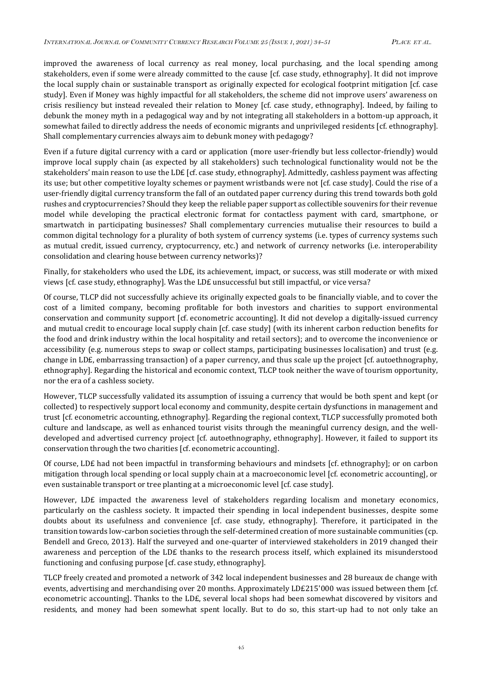improved the awareness of local currency as real money, local purchasing, and the local spending among stakeholders, even if some were already committed to the cause [cf. case study, ethnography]. It did not improve the local supply chain or sustainable transport as originally expected for ecological footprint mitigation [cf. case study]. Even if Money was highly impactful for all stakeholders, the scheme did not improve users' awareness on crisis resiliency but instead revealed their relation to Money [cf. case study, ethnography]. Indeed, by failing to debunk the money myth in a pedagogical way and by not integrating all stakeholders in a bottom-up approach, it somewhat failed to directly address the needs of economic migrants and unprivileged residents [cf. ethnography]. Shall complementary currencies always aim to debunk money with pedagogy?

Even if a future digital currency with a card or application (more user-friendly but less collector-friendly) would improve local supply chain (as expected by all stakeholders) such technological functionality would not be the stakeholders' main reason to use the LD£ [cf. case study, ethnography]. Admittedly, cashless payment was affecting its use; but other competitive loyalty schemes or payment wristbands were not [cf. case study]. Could the rise of a user-friendly digital currency transform the fall of an outdated paper currency during this trend towards both gold rushes and cryptocurrencies? Should they keep the reliable paper support as collectible souvenirs for their revenue model while developing the practical electronic format for contactless payment with card, smartphone, or smartwatch in participating businesses? Shall complementary currencies mutualise their resources to build a common digital technology for a plurality of both system of currency systems (i.e. types of currency systems such as mutual credit, issued currency, cryptocurrency, etc.) and network of currency networks (i.e. interoperability consolidation and clearing house between currency networks)?

Finally, for stakeholders who used the LD£, its achievement, impact, or success, was still moderate or with mixed views [cf. case study, ethnography]. Was the LD£ unsuccessful but still impactful, or vice versa?

Of course, TLCP did not successfully achieve its originally expected goals to be financially viable, and to cover the cost of a limited company, becoming profitable for both investors and charities to support environmental conservation and community support [cf. econometric accounting]. It did not develop a digitally-issued currency and mutual credit to encourage local supply chain [cf. case study] (with its inherent carbon reduction benefits for the food and drink industry within the local hospitality and retail sectors); and to overcome the inconvenience or accessibility (e.g. numerous steps to swap or collect stamps, participating businesses localisation) and trust (e.g. change in LD£, embarrassing transaction) of a paper currency, and thus scale up the project [cf. autoethnography, ethnography]. Regarding the historical and economic context, TLCP took neither the wave of tourism opportunity, nor the era of a cashless society.

However, TLCP successfully validated its assumption of issuing a currency that would be both spent and kept (or collected) to respectively support local economy and community, despite certain dysfunctions in management and trust [cf. econometric accounting, ethnography]. Regarding the regional context, TLCP successfully promoted both culture and landscape, as well as enhanced tourist visits through the meaningful currency design, and the welldeveloped and advertised currency project [cf. autoethnography, ethnography]. However, it failed to support its conservation through the two charities [cf. econometric accounting].

Of course, LD£ had not been impactful in transforming behaviours and mindsets [cf. ethnography]; or on carbon mitigation through local spending or local supply chain at a macroeconomic level [cf. econometric accounting], or even sustainable transport or tree planting at a microeconomic level [cf. case study].

However, LD£ impacted the awareness level of stakeholders regarding localism and monetary economics, particularly on the cashless society. It impacted their spending in local independent businesses, despite some doubts about its usefulness and convenience [cf. case study, ethnography]. Therefore, it participated in the transition towards low-carbon societies through the self-determined creation of more sustainable communities (cp. Bendell and Greco, 2013). Half the surveyed and one-quarter of interviewed stakeholders in 2019 changed their awareness and perception of the LD£ thanks to the research process itself, which explained its misunderstood functioning and confusing purpose [cf. case study, ethnography].

TLCP freely created and promoted a network of 342 local independent businesses and 28 bureaux de change with events, advertising and merchandising over 20 months. Approximately LD£215'000 was issued between them [cf. econometric accounting]. Thanks to the LD£, several local shops had been somewhat discovered by visitors and residents, and money had been somewhat spent locally. But to do so, this start-up had to not only take an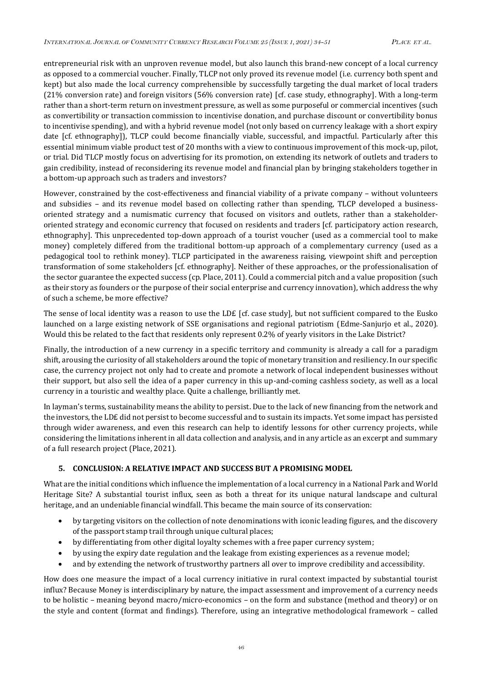entrepreneurial risk with an unproven revenue model, but also launch this brand-new concept of a local currency as opposed to a commercial voucher. Finally, TLCP not only proved its revenue model (i.e. currency both spent and kept) but also made the local currency comprehensible by successfully targeting the dual market of local traders (21% conversion rate) and foreign visitors (56% conversion rate) [cf. case study, ethnography]. With a long-term rather than a short-term return on investment pressure, as well as some purposeful or commercial incentives (such as convertibility or transaction commission to incentivise donation, and purchase discount or convertibility bonus to incentivise spending), and with a hybrid revenue model (not only based on currency leakage with a short expiry date [cf. ethnography]), TLCP could become financially viable, successful, and impactful. Particularly after this essential minimum viable product test of 20 months with a view to continuous improvement of this mock-up, pilot, or trial. Did TLCP mostly focus on advertising for its promotion, on extending its network of outlets and traders to gain credibility, instead of reconsidering its revenue model and financial plan by bringing stakeholders together in a bottom-up approach such as traders and investors?

However, constrained by the cost-effectiveness and financial viability of a private company – without volunteers and subsidies – and its revenue model based on collecting rather than spending, TLCP developed a businessoriented strategy and a numismatic currency that focused on visitors and outlets, rather than a stakeholderoriented strategy and economic currency that focused on residents and traders [cf. participatory action research, ethnography]. This unprecedented top-down approach of a tourist voucher (used as a commercial tool to make money) completely differed from the traditional bottom-up approach of a complementary currency (used as a pedagogical tool to rethink money). TLCP participated in the awareness raising, viewpoint shift and perception transformation of some stakeholders [cf. ethnography]. Neither of these approaches, or the professionalisation of the sector guarantee the expected success (cp. Place, 2011). Could a commercial pitch and a value proposition (such as their story as founders or the purpose of their social enterprise and currency innovation), which address the why of such a scheme, be more effective?

The sense of local identity was a reason to use the LD£ [cf. case study], but not sufficient compared to the Eusko launched on a large existing network of SSE organisations and regional patriotism (Edme-Sanjurjo et al., 2020). Would this be related to the fact that residents only represent 0.2% of yearly visitors in the Lake District?

Finally, the introduction of a new currency in a specific territory and community is already a call for a paradigm shift, arousing the curiosity of all stakeholders around the topic of monetary transition and resiliency. In our specific case, the currency project not only had to create and promote a network of local independent businesses without their support, but also sell the idea of a paper currency in this up-and-coming cashless society, as well as a local currency in a touristic and wealthy place. Quite a challenge, brilliantly met.

In layman's terms, sustainability means the ability to persist. Due to the lack of new financing from the network and the investors, the LD£ did not persist to become successful and to sustain its impacts. Yet some impact has persisted through wider awareness, and even this research can help to identify lessons for other currency projects, while considering the limitations inherent in all data collection and analysis, and in any article as an excerpt and summary of a full research project (Place, 2021).

## **5. CONCLUSION: A RELATIVE IMPACT AND SUCCESS BUT A PROMISING MODEL**

What are the initial conditions which influence the implementation of a local currency in a National Park and World Heritage Site? A substantial tourist influx, seen as both a threat for its unique natural landscape and cultural heritage, and an undeniable financial windfall. This became the main source of its conservation:

- by targeting visitors on the collection of note denominations with iconic leading figures, and the discovery of the passport stamp trail through unique cultural places;
- by differentiating from other digital loyalty schemes with a free paper currency system;
- by using the expiry date regulation and the leakage from existing experiences as a revenue model;
- and by extending the network of trustworthy partners all over to improve credibility and accessibility.

How does one measure the impact of a local currency initiative in rural context impacted by substantial tourist influx? Because Money is interdisciplinary by nature, the impact assessment and improvement of a currency needs to be holistic – meaning beyond macro/micro-economics – on the form and substance (method and theory) or on the style and content (format and findings). Therefore, using an integrative methodological framework – called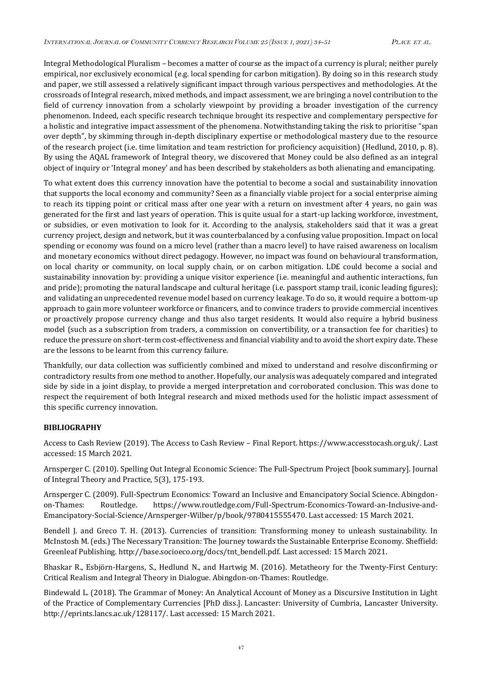Integral Methodological Pluralism – becomes a matter of course as the impact of a currency is plural; neither purely empirical, nor exclusively economical (e.g. local spending for carbon mitigation). By doing so in this research study and paper, we still assessed a relatively significant impact through various perspectives and methodologies. At the crossroads of Integral research, mixed methods, and impact assessment, we are bringing a novel contribution to the field of currency innovation from a scholarly viewpoint by providing a broader investigation of the currency phenomenon. Indeed, each specific research technique brought its respective and complementary perspective for a holistic and integrative impact assessment of the phenomena. Notwithstanding taking the risk to prioritise "span over depth", by skimming through in-depth disciplinary expertise or methodological mastery due to the resource of the research project (i.e. time limitation and team restriction for proficiency acquisition) (Hedlund, 2010, p. 8). By using the AQAL framework of Integral theory, we discovered that Money could be also defined as an integral object of inquiry or 'Integral money' and has been described by stakeholders as both alienating and emancipating.

To what extent does this currency innovation have the potential to become a social and sustainability innovation that supports the local economy and community? Seen as a financially viable project for a social enterprise aiming to reach its tipping point or critical mass after one year with a return on investment after 4 years, no gain was generated for the first and last years of operation. This is quite usual for a start-up lacking workforce, investment, or subsidies, or even motivation to look for it. According to the analysis, stakeholders said that it was a great currency project, design and network, but it was counterbalanced by a confusing value proposition. Impact on local spending or economy was found on a micro level (rather than a macro level) to have raised awareness on localism and monetary economics without direct pedagogy. However, no impact was found on behavioural transformation, on local charity or community, on local supply chain, or on carbon mitigation. LD£ could become a social and sustainability innovation by: providing a unique visitor experience (i.e. meaningful and authentic interactions, fun and pride); promoting the natural landscape and cultural heritage (i.e. passport stamp trail, iconic leading figures); and validating an unprecedented revenue model based on currency leakage. To do so, it would require a bottom-up approach to gain more volunteer workforce or financers, and to convince traders to provide commercial incentives or proactively propose currency change and thus also target residents. It would also require a hybrid business model (such as a subscription from traders, a commission on convertibility, or a transaction fee for charities) to reduce the pressure on short-term cost-effectiveness and financial viability and to avoid the short expiry date. These are the lessons to be learnt from this currency failure.

Thankfully, our data collection was sufficiently combined and mixed to understand and resolve disconfirming or contradictory results from one method to another. Hopefully, our analysis was adequately compared and integrated side by side in a joint display, to provide a merged interpretation and corroborated conclusion. This was done to respect the requirement of both Integral research and mixed methods used for the holistic impact assessment of this specific currency innovation.

## **BIBLIOGRAPHY**

Access to Cash Review (2019). The Access to Cash Review – Final Report. https://www.accesstocash.org.uk/. Last accessed: 15 March 2021.

Arnsperger C. (2010). Spelling Out Integral Economic Science: The Full-Spectrum Project [book summary]. Journal of Integral Theory and Practice, 5(3), 175-193.

Arnsperger C. (2009). Full-Spectrum Economics: Toward an Inclusive and Emancipatory Social Science. Abingdonon-Thames: Routledge. https://www.routledge.com/Full-Spectrum-Economics-Toward-an-Inclusive-and-Emancipatory-Social-Science/Arnsperger-Wilber/p/book/9780415555470. Last accessed: 15 March 2021.

Bendell J. and Greco T. H. (2013). Currencies of transition: Transforming money to unleash sustainability. In McInstosh M. (eds.) The Necessary Transition: The Journey towards the Sustainable Enterprise Economy. Sheffield: Greenleaf Publishing. http://base.socioeco.org/docs/tnt\_bendell.pdf. Last accessed: 15 March 2021.

Bhaskar R., Esbjörn-Hargens, S., Hedlund N., and Hartwig M. (2016). Metatheory for the Twenty-First Century: Critical Realism and Integral Theory in Dialogue. Abingdon-on-Thames: Routledge.

Bindewald L. (2018). The Grammar of Money: An Analytical Account of Money as a Discursive Institution in Light of the Practice of Complementary Currencies [PhD diss.]. Lancaster: University of Cumbria, Lancaster University. http://eprints.lancs.ac.uk/128117/. Last accessed: 15 March 2021.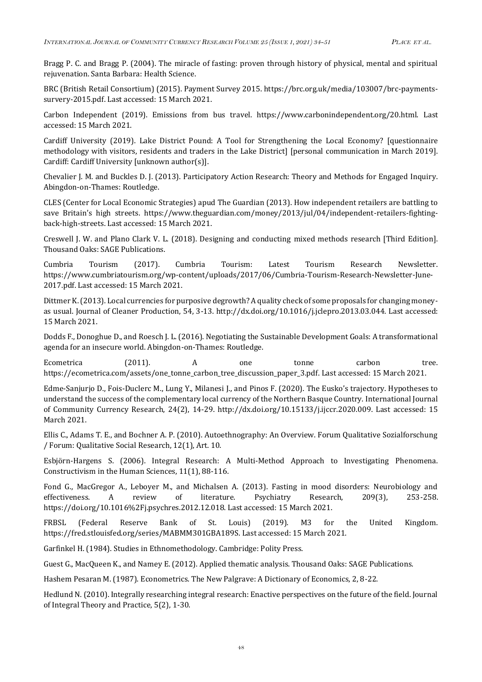Bragg P. C. and Bragg P. (2004). The miracle of fasting: proven through history of physical, mental and spiritual rejuvenation. Santa Barbara: Health Science.

BRC (British Retail Consortium) (2015). Payment Survey 2015. https://brc.org.uk/media/103007/brc-paymentssurvery-2015.pdf. Last accessed: 15 March 2021.

Carbon Independent (2019). Emissions from bus travel. https://www.carbonindependent.org/20.html. Last accessed: 15 March 2021.

Cardiff University (2019). Lake District Pound: A Tool for Strengthening the Local Economy? [questionnaire methodology with visitors, residents and traders in the Lake District] [personal communication in March 2019]. Cardiff: Cardiff University [unknown author(s)].

Chevalier J. M. and Buckles D. J. (2013). Participatory Action Research: Theory and Methods for Engaged Inquiry. Abingdon-on-Thames: Routledge.

CLES (Center for Local Economic Strategies) apud The Guardian (2013). How independent retailers are battling to save Britain's high streets. https://www.theguardian.com/money/2013/jul/04/independent-retailers-fightingback-high-streets. Last accessed: 15 March 2021.

Creswell J. W. and Plano Clark V. L. (2018). Designing and conducting mixed methods research [Third Edition]. Thousand Oaks: SAGE Publications.

Cumbria Tourism (2017). Cumbria Tourism: Latest Tourism Research Newsletter. https://www.cumbriatourism.org/wp-content/uploads/2017/06/Cumbria-Tourism-Research-Newsletter-June-2017.pdf. Last accessed: 15 March 2021.

Dittmer K. (2013). Local currencies for purposive degrowth? A quality check of some proposals for changing moneyas usual. Journal of Cleaner Production, 54, 3-13. http://dx.doi.org/10.1016/j.jclepro.2013.03.044. Last accessed: 15 March 2021.

Dodds F., Donoghue D., and Roesch J. L. (2016). Negotiating the Sustainable Development Goals: A transformational agenda for an insecure world. Abingdon-on-Thames: Routledge.

Ecometrica (2011). A one tonne carbon tree. https://ecometrica.com/assets/one\_tonne\_carbon\_tree\_discussion\_paper\_3.pdf. Last accessed: 15 March 2021.

Edme-Sanjurjo D., Fois-Duclerc M., Lung Y., Milanesi J., and Pinos F. (2020). The Eusko's trajectory. Hypotheses to understand the success of the complementary local currency of the Northern Basque Country. International Journal of Community Currency Research, 24(2), 14-29. http://dx.doi.org/10.15133/j.ijccr.2020.009. Last accessed: 15 March 2021.

Ellis C., Adams T. E., and Bochner A. P. (2010). Autoethnography: An Overview. Forum Qualitative Sozialforschung / Forum: Qualitative Social Research, 12(1), Art. 10.

Esbjörn-Hargens S. (2006). Integral Research: A Multi-Method Approach to Investigating Phenomena. Constructivism in the Human Sciences, 11(1), 88-116.

Fond G., MacGregor A., Leboyer M., and Michalsen A. (2013). Fasting in mood disorders: Neurobiology and effectiveness. A review of literature. Psychiatry Research, 209(3), 253-258. https://doi.org/10.1016%2Fj.psychres.2012.12.018. Last accessed: 15 March 2021.

FRBSL (Federal Reserve Bank of St. Louis) (2019). M3 for the United Kingdom. https://fred.stlouisfed.org/series/MABMM301GBA189S. Last accessed: 15 March 2021.

Garfinkel H. (1984). Studies in Ethnomethodology. Cambridge: Polity Press.

Guest G., MacQueen K., and Namey E. (2012). Applied thematic analysis. Thousand Oaks: SAGE Publications.

Hashem Pesaran M. (1987). Econometrics. The New Palgrave: A Dictionary of Economics, 2, 8-22.

Hedlund N. (2010). Integrally researching integral research: Enactive perspectives on the future of the field. Journal of Integral Theory and Practice, 5(2), 1-30.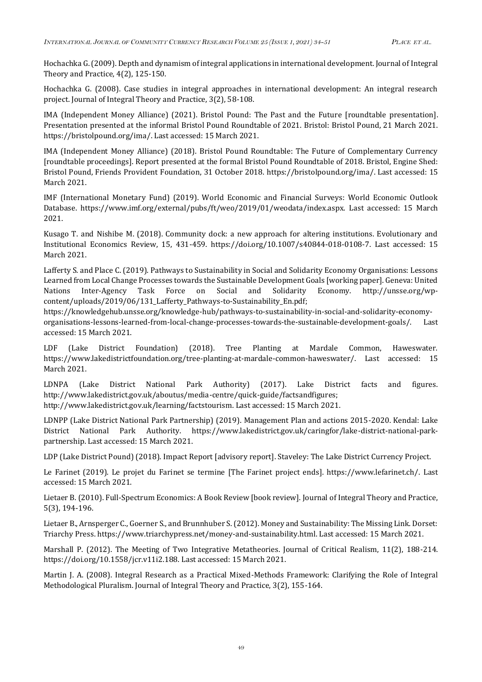Hochachka G. (2009). Depth and dynamism of integral applications in international development. Journal of Integral Theory and Practice, 4(2), 125-150.

Hochachka G. (2008). Case studies in integral approaches in international development: An integral research project. Journal of Integral Theory and Practice, 3(2), 58-108.

IMA (Independent Money Alliance) (2021). Bristol Pound: The Past and the Future [roundtable presentation]. Presentation presented at the informal Bristol Pound Roundtable of 2021. Bristol: Bristol Pound, 21 March 2021. https://bristolpound.org/ima/. Last accessed: 15 March 2021.

IMA (Independent Money Alliance) (2018). Bristol Pound Roundtable: The Future of Complementary Currency [roundtable proceedings]. Report presented at the formal Bristol Pound Roundtable of 2018. Bristol, Engine Shed: Bristol Pound, Friends Provident Foundation, 31 October 2018. https://bristolpound.org/ima/. Last accessed: 15 March 2021.

IMF (International Monetary Fund) (2019). World Economic and Financial Surveys: World Economic Outlook Database. https://www.imf.org/external/pubs/ft/weo/2019/01/weodata/index.aspx. Last accessed: 15 March 2021.

Kusago T. and Nishibe M. (2018). Community dock: a new approach for altering institutions. Evolutionary and Institutional Economics Review, 15, 431-459. https://doi.org/10.1007/s40844-018-0108-7. Last accessed: 15 March 2021.

Lafferty S. and Place C. (2019). Pathways to Sustainability in Social and Solidarity Economy Organisations: Lessons Learned from Local Change Processes towards the Sustainable Development Goals [working paper]. Geneva: United Nations Inter-Agency Task Force on Social and Solidarity Economy. http://unsse.org/wpcontent/uploads/2019/06/131\_Lafferty\_Pathways-to-Sustainability\_En.pdf;

https://knowledgehub.unsse.org/knowledge-hub/pathways-to-sustainability-in-social-and-solidarity-economyorganisations-lessons-learned-from-local-change-processes-towards-the-sustainable-development-goals/. Last accessed: 15 March 2021.

LDF (Lake District Foundation) (2018). Tree Planting at Mardale Common, Haweswater. https://www.lakedistrictfoundation.org/tree-planting-at-mardale-common-haweswater/. Last accessed: 15 March 2021.

LDNPA (Lake District National Park Authority) (2017). Lake District facts and figures. http://www.lakedistrict.gov.uk/aboutus/media-centre/quick-guide/factsandfigures; http://www.lakedistrict.gov.uk/learning/factstourism. Last accessed: 15 March 2021.

LDNPP (Lake District National Park Partnership) (2019). Management Plan and actions 2015-2020. Kendal: Lake District National Park Authority. https://www.lakedistrict.gov.uk/caringfor/lake-district-national-parkpartnership. Last accessed: 15 March 2021.

LDP (Lake District Pound) (2018). Impact Report [advisory report]. Staveley: The Lake District Currency Project.

Le Farinet (2019). Le projet du Farinet se termine [The Farinet project ends]. https://www.lefarinet.ch/. Last accessed: 15 March 2021.

Lietaer B. (2010). Full-Spectrum Economics: A Book Review [book review]. Journal of Integral Theory and Practice, 5(3), 194-196.

Lietaer B., Arnsperger C., Goerner S., and Brunnhuber S. (2012). Money and Sustainability: The Missing Link. Dorset: Triarchy Press. https://www.triarchypress.net/money-and-sustainability.html. Last accessed: 15 March 2021.

Marshall P. (2012). The Meeting of Two Integrative Metatheories. Journal of Critical Realism, 11(2), 188-214. https://doi.org/10.1558/jcr.v11i2.188. Last accessed: 15 March 2021.

Martin J. A. (2008). Integral Research as a Practical Mixed-Methods Framework: Clarifying the Role of Integral Methodological Pluralism. Journal of Integral Theory and Practice, 3(2), 155-164.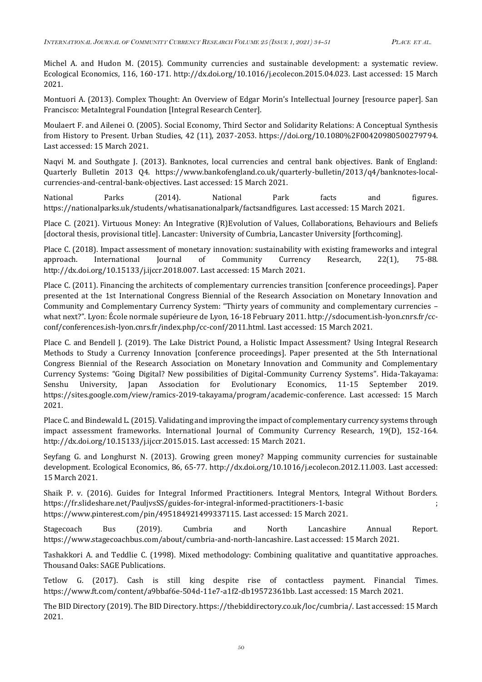Michel A. and Hudon M. (2015). Community currencies and sustainable development: a systematic review. Ecological Economics, 116, 160-171. http://dx.doi.org/10.1016/j.ecolecon.2015.04.023. Last accessed: 15 March 2021.

Montuori A. (2013). Complex Thought: An Overview of Edgar Morin's Intellectual Journey [resource paper]. San Francisco: MetaIntegral Foundation [Integral Research Center].

Moulaert F. and Ailenei O. (2005). Social Economy, Third Sector and Solidarity Relations: A Conceptual Synthesis from History to Present. Urban Studies, 42 (11), 2037-2053. https://doi.org/10.1080%2F00420980500279794. Last accessed: 15 March 2021.

Naqvi M. and Southgate J. (2013). Banknotes, local currencies and central bank objectives. Bank of England: Quarterly Bulletin 2013 Q4. https://www.bankofengland.co.uk/quarterly-bulletin/2013/q4/banknotes-localcurrencies-and-central-bank-objectives. Last accessed: 15 March 2021.

National Parks (2014). National Park facts and figures. https://nationalparks.uk/students/whatisanationalpark/factsandfigures. Last accessed: 15 March 2021.

Place C. (2021). Virtuous Money: An Integrative (R)Evolution of Values, Collaborations, Behaviours and Beliefs [doctoral thesis, provisional title]. Lancaster: University of Cumbria, Lancaster University [forthcoming].

Place C. (2018). Impact assessment of monetary innovation: sustainability with existing frameworks and integral approach. International Journal of Community Currency Research, 22(1), 75-88. http://dx.doi.org/10.15133/j.ijccr.2018.007. Last accessed: 15 March 2021.

Place C. (2011). Financing the architects of complementary currencies transition [conference proceedings]. Paper presented at the 1st International Congress Biennial of the Research Association on Monetary Innovation and Community and Complementary Currency System: "Thirty years of community and complementary currencies – what next?". Lyon: École normale supérieure de Lyon, 16-18 February 2011. http://sdocument.ish-lyon.cnrs.fr/ccconf/conferences.ish-lyon.cnrs.fr/index.php/cc-conf/2011.html. Last accessed: 15 March 2021.

Place C. and Bendell J. (2019). The Lake District Pound, a Holistic Impact Assessment? Using Integral Research Methods to Study a Currency Innovation [conference proceedings]. Paper presented at the 5th International Congress Biennial of the Research Association on Monetary Innovation and Community and Complementary Currency Systems: "Going Digital? New possibilities of Digital-Community Currency Systems". Hida-Takayama: Senshu University, Japan Association for Evolutionary Economics, 11-15 September 2019. https://sites.google.com/view/ramics-2019-takayama/program/academic-conference. Last accessed: 15 March 2021.

Place C. and Bindewald L. (2015). Validating and improving the impact of complementary currency systems through impact assessment frameworks. International Journal of Community Currency Research, 19(D), 152-164. http://dx.doi.org/10.15133/j.ijccr.2015.015. Last accessed: 15 March 2021.

Seyfang G. and Longhurst N. (2013). Growing green money? Mapping community currencies for sustainable development. Ecological Economics, 86, 65-77. http://dx.doi.org/10.1016/j.ecolecon.2012.11.003. Last accessed: 15 March 2021.

Shaik P. v. (2016). Guides for Integral Informed Practitioners. Integral Mentors, Integral Without Borders. https://fr.slideshare.net/PauljvsSS/guides-for-integral-informed-practitioners-1-basic ; https://www.pinterest.com/pin/495184921499337115. Last accessed: 15 March 2021.

Stagecoach Bus (2019). Cumbria and North Lancashire Annual Report. https://www.stagecoachbus.com/about/cumbria-and-north-lancashire. Last accessed: 15 March 2021.

Tashakkori A. and Teddlie C. (1998). Mixed methodology: Combining qualitative and quantitative approaches. Thousand Oaks: SAGE Publications.

Tetlow G. (2017). Cash is still king despite rise of contactless payment. Financial Times. https://www.ft.com/content/a9bbaf6e-504d-11e7-a1f2-db19572361bb. Last accessed: 15 March 2021.

The BID Directory (2019). The BID Directory. https://thebiddirectory.co.uk/loc/cumbria/. Last accessed: 15 March 2021.